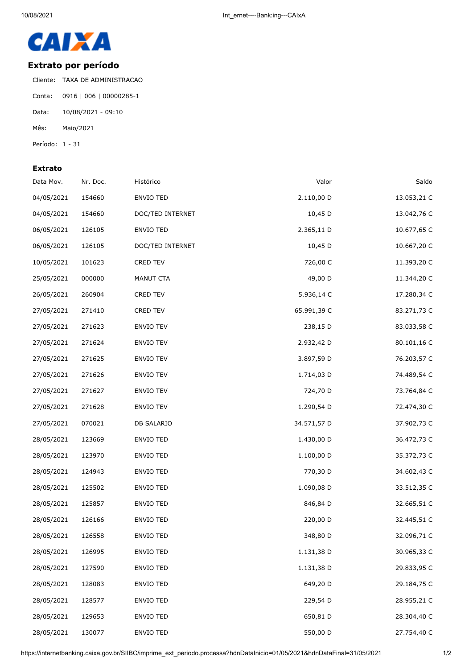

## **Extrato por período**

Cliente: TAXA DE ADMINISTRACAO Conta: 0916 | 006 | 00000285-1 Data: 10/08/2021 - 09:10 Mês: Maio/2021 Período: 1 - 31

## **Extrato**

| Data Mov.  | Nr. Doc. | Histórico        | Valor       | Saldo       |
|------------|----------|------------------|-------------|-------------|
| 04/05/2021 | 154660   | ENVIO TED        | 2.110,00 D  | 13.053,21 C |
| 04/05/2021 | 154660   | DOC/TED INTERNET | 10,45 D     | 13.042,76 C |
| 06/05/2021 | 126105   | ENVIO TED        | 2.365,11 D  | 10.677,65 C |
| 06/05/2021 | 126105   | DOC/TED INTERNET | 10,45 D     | 10.667,20 C |
| 10/05/2021 | 101623   | CRED TEV         | 726,00 C    | 11.393,20 C |
| 25/05/2021 | 000000   | MANUT CTA        | 49,00 D     | 11.344,20 C |
| 26/05/2021 | 260904   | CRED TEV         | 5.936,14 C  | 17.280,34 C |
| 27/05/2021 | 271410   | CRED TEV         | 65.991,39 C | 83.271,73 C |
| 27/05/2021 | 271623   | <b>ENVIO TEV</b> | 238,15 D    | 83.033,58 C |
| 27/05/2021 | 271624   | ENVIO TEV        | 2.932,42 D  | 80.101,16 C |
| 27/05/2021 | 271625   | ENVIO TEV        | 3.897,59 D  | 76.203,57 C |
| 27/05/2021 | 271626   | ENVIO TEV        | 1.714,03 D  | 74.489,54 C |
| 27/05/2021 | 271627   | ENVIO TEV        | 724,70 D    | 73.764,84 C |
| 27/05/2021 | 271628   | ENVIO TEV        | 1.290,54 D  | 72.474,30 C |
| 27/05/2021 | 070021   | DB SALARIO       | 34.571,57 D | 37.902,73 C |
| 28/05/2021 | 123669   | ENVIO TED        | 1.430,00 D  | 36.472,73 C |
| 28/05/2021 | 123970   | ENVIO TED        | 1.100,00 D  | 35.372,73 C |
| 28/05/2021 | 124943   | ENVIO TED        | 770,30 D    | 34.602,43 C |
| 28/05/2021 | 125502   | ENVIO TED        | 1.090,08 D  | 33.512,35 C |
| 28/05/2021 | 125857   | ENVIO TED        | 846,84 D    | 32.665,51 C |
| 28/05/2021 | 126166   | <b>ENVIO TED</b> | 220,00 D    | 32.445,51 C |
| 28/05/2021 | 126558   | <b>ENVIO TED</b> | 348,80 D    | 32.096,71 C |
| 28/05/2021 | 126995   | ENVIO TED        | 1.131,38 D  | 30.965,33 C |
| 28/05/2021 | 127590   | ENVIO TED        | 1.131,38 D  | 29.833,95 C |
| 28/05/2021 | 128083   | ENVIO TED        | 649,20 D    | 29.184,75 C |
| 28/05/2021 | 128577   | ENVIO TED        | 229,54 D    | 28.955,21 C |
| 28/05/2021 | 129653   | ENVIO TED        | 650,81 D    | 28.304,40 C |
| 28/05/2021 | 130077   | ENVIO TED        | 550,00 D    | 27.754,40 C |

https://internetbanking.caixa.gov.br/SIIBC/imprime\_ext\_periodo.processa?hdnDataInicio=01/05/2021&hdnDataFinal=31/05/2021